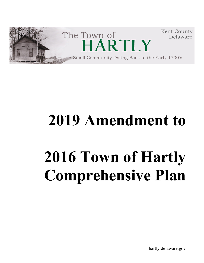

## **2019 Amendment to**

# **2016 Town of Hartly Comprehensive Plan**

hartly.delaware.gov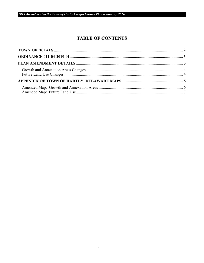## **TABLE OF CONTENTS**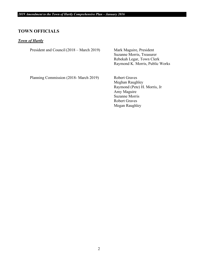#### <span id="page-2-0"></span>**TOWN OFFICIALS**

#### *Town of Hartly*

President and Council (2018 – March 2019) Mark Maguire, President

Suzanne Morris, Treasurer Rebekah Legar, Town Clerk Raymond K. Morris, Public Works

Planning Commission (2018- March 2019) Robert Graves

Meghan Raughley Raymond (Pete) H. Morris, Jr Amy Maguire Suzanne Morris Robert Graves Megan Raughley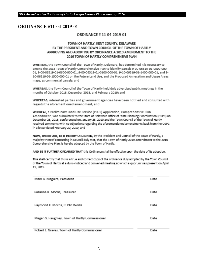## <span id="page-3-1"></span><span id="page-3-0"></span>**ORDINANCE #11-04-2019-01**

## **ORDINANCE #11-04-2019-01**

#### TOWN OF HARTLY, KENT COUNTY, DELAWARE BY THE PRESIDENT AND TOWN COUNCIL OF THE TOWN OF HARTLY APPROVING AND ADOPTING BY ORDINANCE A 2019 AMENDMENT TO THE 2016 TOWN OF HARTLY COMPREHENSIVE PLAN

WHEREAS, the Town Council of the Town of Hartly, Delaware, has determined it is necessary to amend the 2016 Town of Hartly Comprehensive Plan to identify parcels 9-00-06319-01-0500-000-01, 9-00-06319-01-0600-000-01, 9-00-06319-01-0100-000-01, 9-10-06319-01-1400-000-01, and 9-10-06319-01-1500-000-01 on the Future Land Use, and the Proposed Annexation and Usage Areas maps, as commercial parcels; and

WHEREAS, the Town Council of the Town of Hartly held duly advertised public meetings in the months of October 2018, December 2018, and February 2019; and

WHEREAS, interested parties and government agencies have been notified and consulted with regards the aforementioned amendment; and

WHEREAS, a Preliminary Land Use Service (PLUS) Application, Comprehensive Plan Amendment, was submitted to the State of Delaware Office of State Planning Coordination (OSPC) on December 28, 2018, conferenced on January 23, 2019 and the Town Council of the Town of Hartly received comments with no objections regarding the aforementioned amendments back from the OSPC in a letter dated February 20, 2019; and

NOW, THEREFORE, BE IT HEREBY ORDAINED, by the President and Council of the Town of Hartly, a majority thereof concurring in Council duly met, that the Town of Hartly 2019 Amendment to the 2016 Comprehensive Plan, is hereby adopted by the Town of Hartly.

AND BE IT FURTHER ORDAINED THAT this Ordinance shall be effective upon the date of its adoption.

This shall certify that this is a true and correct copy of the ordinance duly adopted by the Town Council of the Town of Hartly at a duly -noticed and convened meeting at which a guorum was present on April 11, 2019.

| Mark A. Maguire, President                     | Date |
|------------------------------------------------|------|
| Suzanne K. Morris, Treasurer                   | Date |
| Raymond K. Morris, Public Works                | Date |
| Megan S. Raughley, Town of Hartly Commissioner | Date |
| Robert J. Graves, Town of Hartly Commissioner  | Date |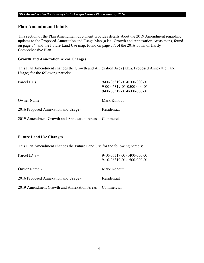#### **Plan Amendment Details**

This section of the Plan Amendment document provides details about the 2019 Amendment regarding updates to the Proposed Annexation and Usage Map (a.k.a. Growth and Annexation Areas map), found on page 34, and the Future Land Use map, found on page 37, of the 2016 Town of Hartly Comprehensive Plan.

#### <span id="page-4-0"></span>**Growth and Annexation Areas Changes**

This Plan Amendment changes the Growth and Annexation Area (a.k.a. Proposed Annexation and Usage) for the following parcels:

| Parcel $ID's -$                                         | 9-00-06319-01-0100-000-01<br>9-00-06319-01-0500-000-01<br>9-00-06319-01-0600-000-01 |
|---------------------------------------------------------|-------------------------------------------------------------------------------------|
| Owner Name -                                            | Mark Kohout                                                                         |
| 2016 Proposed Annexation and Usage -                    | Residential                                                                         |
| 2019 Amendment Growth and Annexation Areas - Commercial |                                                                                     |

#### <span id="page-4-1"></span>**Future Land Use Changes**

This Plan Amendment changes the Future Land Use for the following parcels:

| Parcel $ID's -$                                         | 9-10-06319-01-1400-000-01<br>9-10-06319-01-1500-000-01 |
|---------------------------------------------------------|--------------------------------------------------------|
| Owner Name -                                            | Mark Kohout                                            |
| 2016 Proposed Annexation and Usage -                    | Residential                                            |
| 2019 Amendment Growth and Annexation Areas - Commercial |                                                        |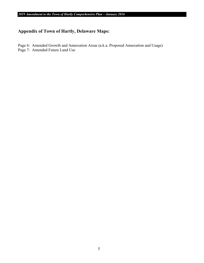## <span id="page-5-0"></span>**Appendix of Town of Hartly, Delaware Maps:**

Page 6: Amended Growth and Annexation Areas (a.k.a. Proposed Annexation and Usage) Page 7: Amended Future Land Use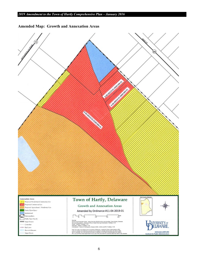<span id="page-6-0"></span>**Amended Map: Growth and Annexation Areas**